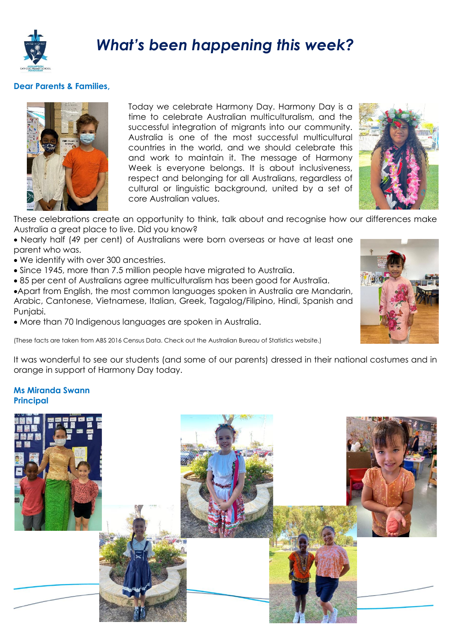

## *What's been happening this week?*

## **Dear Parents & Families,**



Today we celebrate Harmony Day. Harmony Day is a time to celebrate Australian multiculturalism, and the successful integration of migrants into our community. Australia is one of the most successful multicultural countries in the world, and we should celebrate this and work to maintain it. The message of Harmony Week is everyone belongs. It is about inclusiveness, respect and belonging for all Australians, regardless of cultural or linguistic background, united by a set of core Australian values.



These celebrations create an opportunity to think, talk about and recognise how our differences make Australia a great place to live. Did you know?

• Nearly half (49 per cent) of Australians were born overseas or have at least one parent who was.

- We identify with over 300 ancestries.
- Since 1945, more than 7.5 million people have migrated to Australia.
- 85 per cent of Australians agree multiculturalism has been good for Australia.

•Apart from English, the most common languages spoken in Australia are Mandarin, Arabic, Cantonese, Vietnamese, Italian, Greek, Tagalog/Filipino, Hindi, Spanish and Punjabi.

• More than 70 Indigenous languages are spoken in Australia.

(These facts are taken from ABS 2016 Census Data. Check out the Australian Bureau of Statistics website.)



It was wonderful to see our students (and some of our parents) dressed in their national costumes and in orange in support of Harmony Day today.

## **Ms Miranda Swann Principal**